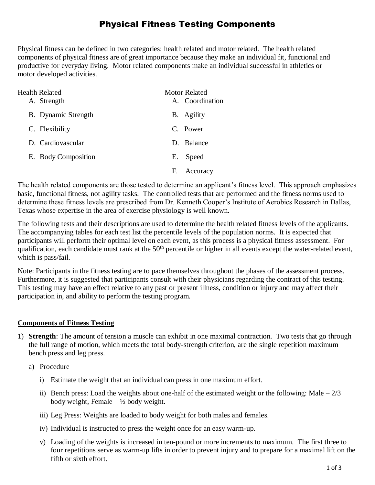# Physical Fitness Testing Components

Physical fitness can be defined in two categories: health related and motor related. The health related components of physical fitness are of great importance because they make an individual fit, functional and productive for everyday living. Motor related components make an individual successful in athletics or motor developed activities.

| Health Related<br>A. Strength | Motor Related<br>A. Coordination |
|-------------------------------|----------------------------------|
| <b>B.</b> Dynamic Strength    | B. Agility                       |
| C. Flexibility                | C. Power                         |
| D. Cardiovascular             | D. Balance                       |
| E. Body Composition           | Е.<br>Speed                      |
|                               | F.<br>Accuracy                   |

The health related components are those tested to determine an applicant's fitness level. This approach emphasizes basic, functional fitness, not agility tasks. The controlled tests that are performed and the fitness norms used to determine these fitness levels are prescribed from Dr. Kenneth Cooper's Institute of Aerobics Research in Dallas, Texas whose expertise in the area of exercise physiology is well known.

The following tests and their descriptions are used to determine the health related fitness levels of the applicants. The accompanying tables for each test list the percentile levels of the population norms. It is expected that participants will perform their optimal level on each event, as this process is a physical fitness assessment. For qualification, each candidate must rank at the  $50<sup>th</sup>$  percentile or higher in all events except the water-related event, which is pass/fail.

Note: Participants in the fitness testing are to pace themselves throughout the phases of the assessment process. Furthermore, it is suggested that participants consult with their physicians regarding the contract of this testing. This testing may have an effect relative to any past or present illness, condition or injury and may affect their participation in, and ability to perform the testing program.

### **Components of Fitness Testing**

- 1) **Strength**: The amount of tension a muscle can exhibit in one maximal contraction. Two tests that go through the full range of motion, which meets the total body-strength criterion, are the single repetition maximum bench press and leg press.
	- a) Procedure
		- i) Estimate the weight that an individual can press in one maximum effort.
		- ii) Bench press: Load the weights about one-half of the estimated weight or the following: Male  $-2/3$ body weight, Female  $-\frac{1}{2}$  body weight.
		- iii) Leg Press: Weights are loaded to body weight for both males and females.
		- iv) Individual is instructed to press the weight once for an easy warm-up.
		- v) Loading of the weights is increased in ten-pound or more increments to maximum. The first three to four repetitions serve as warm-up lifts in order to prevent injury and to prepare for a maximal lift on the fifth or sixth effort.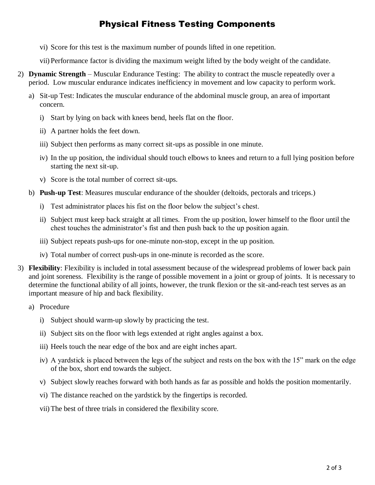# Physical Fitness Testing Components

vi) Score for this test is the maximum number of pounds lifted in one repetition.

vii) Performance factor is dividing the maximum weight lifted by the body weight of the candidate.

- 2) **Dynamic Strength** Muscular Endurance Testing: The ability to contract the muscle repeatedly over a period. Low muscular endurance indicates inefficiency in movement and low capacity to perform work.
	- a) Sit-up Test: Indicates the muscular endurance of the abdominal muscle group, an area of important concern.
		- i) Start by lying on back with knees bend, heels flat on the floor.
		- ii) A partner holds the feet down.
		- iii) Subject then performs as many correct sit-ups as possible in one minute.
		- iv) In the up position, the individual should touch elbows to knees and return to a full lying position before starting the next sit-up.
		- v) Score is the total number of correct sit-ups.
	- b) **Push-up Test**: Measures muscular endurance of the shoulder (deltoids, pectorals and triceps.)
		- i) Test administrator places his fist on the floor below the subject's chest.
		- ii) Subject must keep back straight at all times. From the up position, lower himself to the floor until the chest touches the administrator's fist and then push back to the up position again.
		- iii) Subject repeats push-ups for one-minute non-stop, except in the up position.
		- iv) Total number of correct push-ups in one-minute is recorded as the score.
- 3) **Flexibility**: Flexibility is included in total assessment because of the widespread problems of lower back pain and joint soreness. Flexibility is the range of possible movement in a joint or group of joints. It is necessary to determine the functional ability of all joints, however, the trunk flexion or the sit-and-reach test serves as an important measure of hip and back flexibility.
	- a) Procedure
		- i) Subject should warm-up slowly by practicing the test.
		- ii) Subject sits on the floor with legs extended at right angles against a box.
		- iii) Heels touch the near edge of the box and are eight inches apart.
		- iv) A yardstick is placed between the legs of the subject and rests on the box with the 15" mark on the edge of the box, short end towards the subject.
		- v) Subject slowly reaches forward with both hands as far as possible and holds the position momentarily.
		- vi) The distance reached on the yardstick by the fingertips is recorded.
		- vii)The best of three trials in considered the flexibility score.